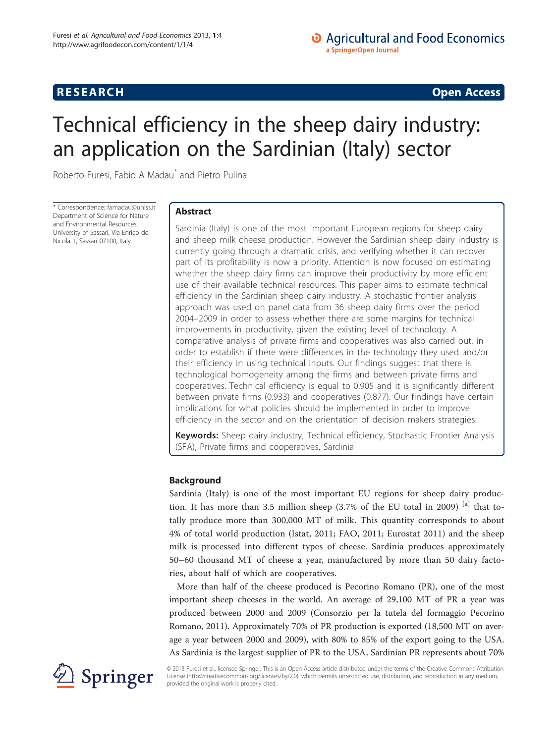# **RESEARCH CHINESE ARCH CHINESE ARCH CHINESE ARCH**

# Technical efficiency in the sheep dairy industry: an application on the Sardinian (Italy) sector

Roberto Furesi, Fabio A Madau\* and Pietro Pulina

\* Correspondence: [famadau@uniss.it](mailto:famadau@uniss.it) Department of Science for Nature and Environmental Resources, University of Sassari, Via Enrico de Nicola 1, Sassari 07100, Italy

# Abstract

Sardinia (Italy) is one of the most important European regions for sheep dairy and sheep milk cheese production. However the Sardinian sheep dairy industry is currently going through a dramatic crisis, and verifying whether it can recover part of its profitability is now a priority. Attention is now focused on estimating whether the sheep dairy firms can improve their productivity by more efficient use of their available technical resources. This paper aims to estimate technical efficiency in the Sardinian sheep dairy industry. A stochastic frontier analysis approach was used on panel data from 36 sheep dairy firms over the period 2004–2009 in order to assess whether there are some margins for technical improvements in productivity, given the existing level of technology. A comparative analysis of private firms and cooperatives was also carried out, in order to establish if there were differences in the technology they used and/or their efficiency in using technical inputs. Our findings suggest that there is technological homogeneity among the firms and between private firms and cooperatives. Technical efficiency is equal to 0.905 and it is significantly different between private firms (0.933) and cooperatives (0.877). Our findings have certain implications for what policies should be implemented in order to improve efficiency in the sector and on the orientation of decision makers strategies.

Keywords: Sheep dairy industry, Technical efficiency, Stochastic Frontier Analysis (SFA), Private firms and cooperatives, Sardinia

# Background

Sardinia (Italy) is one of the most important EU regions for sheep dairy production. It has more than 3.5 million sheep  $(3.7\%$  of the EU total in 2009) [a] that totally produce more than 300,000 MT of milk. This quantity corresponds to about 4% of total world production (Istat, [2011](#page-10-0); FAO, [2011;](#page-10-0) Eurostat [2011](#page-10-0)) and the sheep milk is processed into different types of cheese. Sardinia produces approximately 50–60 thousand MT of cheese a year, manufactured by more than 50 dairy factories, about half of which are cooperatives.

More than half of the cheese produced is Pecorino Romano (PR), one of the most important sheep cheeses in the world. An average of 29,100 MT of PR a year was produced between 2000 and 2009 (Consorzio per la tutela del formaggio Pecorino Romano, [2011\)](#page-10-0). Approximately 70% of PR production is exported (18,500 MT on average a year between 2000 and 2009), with 80% to 85% of the export going to the USA. As Sardinia is the largest supplier of PR to the USA, Sardinian PR represents about 70%



© 2013 Furesi et al.; licensee Springer. This is an Open Access article distributed under the terms of the Creative Commons Attribution License [\(http://creativecommons.org/licenses/by/2.0\)](http://creativecommons.org/licenses/by/2.0), which permits unrestricted use, distribution, and reproduction in any medium, provided the original work is properly cited.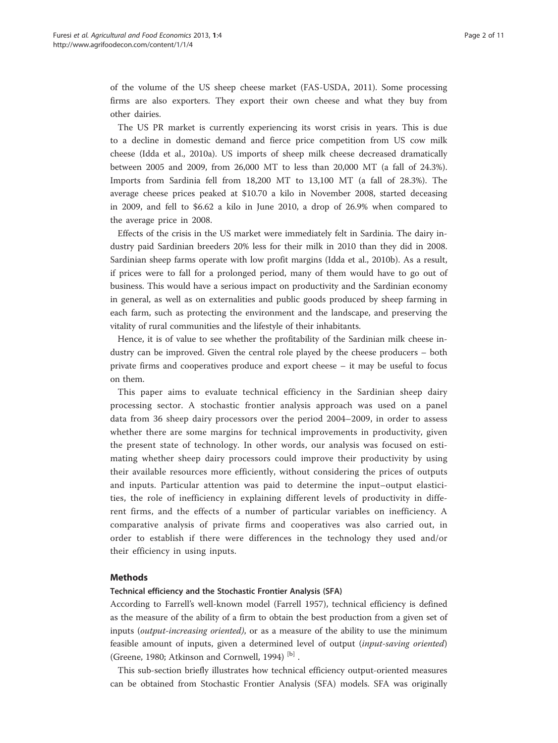of the volume of the US sheep cheese market (FAS-USDA, [2011\)](#page-10-0). Some processing firms are also exporters. They export their own cheese and what they buy from other dairies.

The US PR market is currently experiencing its worst crisis in years. This is due to a decline in domestic demand and fierce price competition from US cow milk cheese (Idda et al., [2010a](#page-10-0)). US imports of sheep milk cheese decreased dramatically between 2005 and 2009, from 26,000 MT to less than 20,000 MT (a fall of 24.3%). Imports from Sardinia fell from 18,200 MT to 13,100 MT (a fall of 28.3%). The average cheese prices peaked at \$10.70 a kilo in November 2008, started deceasing in 2009, and fell to \$6.62 a kilo in June 2010, a drop of 26.9% when compared to the average price in 2008.

Effects of the crisis in the US market were immediately felt in Sardinia. The dairy industry paid Sardinian breeders 20% less for their milk in 2010 than they did in 2008. Sardinian sheep farms operate with low profit margins (Idda et al., [2010b\)](#page-10-0). As a result, if prices were to fall for a prolonged period, many of them would have to go out of business. This would have a serious impact on productivity and the Sardinian economy in general, as well as on externalities and public goods produced by sheep farming in each farm, such as protecting the environment and the landscape, and preserving the vitality of rural communities and the lifestyle of their inhabitants.

Hence, it is of value to see whether the profitability of the Sardinian milk cheese industry can be improved. Given the central role played by the cheese producers – both private firms and cooperatives produce and export cheese – it may be useful to focus on them.

This paper aims to evaluate technical efficiency in the Sardinian sheep dairy processing sector. A stochastic frontier analysis approach was used on a panel data from 36 sheep dairy processors over the period 2004–2009, in order to assess whether there are some margins for technical improvements in productivity, given the present state of technology. In other words, our analysis was focused on estimating whether sheep dairy processors could improve their productivity by using their available resources more efficiently, without considering the prices of outputs and inputs. Particular attention was paid to determine the input–output elasticities, the role of inefficiency in explaining different levels of productivity in different firms, and the effects of a number of particular variables on inefficiency. A comparative analysis of private firms and cooperatives was also carried out, in order to establish if there were differences in the technology they used and/or their efficiency in using inputs.

#### Methods

#### Technical efficiency and the Stochastic Frontier Analysis (SFA)

According to Farrell's well-known model (Farrell [1957](#page-10-0)), technical efficiency is defined as the measure of the ability of a firm to obtain the best production from a given set of inputs (output-increasing oriented), or as a measure of the ability to use the minimum feasible amount of inputs, given a determined level of output (input-saving oriented) (Greene, [1980](#page-10-0); Atkinson and Cornwell, [1994](#page-9-0))<sup>[b]</sup>.

This sub-section briefly illustrates how technical efficiency output-oriented measures can be obtained from Stochastic Frontier Analysis (SFA) models. SFA was originally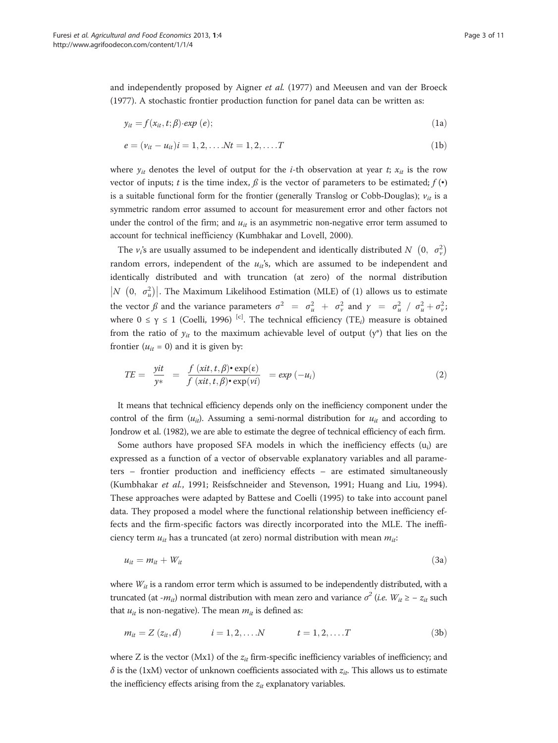and independently proposed by Aigner et al. ([1977](#page-9-0)) and Meeusen and van der Broeck ([1977](#page-10-0)). A stochastic frontier production function for panel data can be written as:

$$
y_{it} = f(x_{it}, t; \beta) \cdot exp(e); \qquad (1a)
$$

$$
e = (v_{it} - u_{it})i = 1, 2, \dots Nt = 1, 2, \dots T
$$
 (1b)

where  $y_{it}$  denotes the level of output for the *i*-th observation at year *t*;  $x_{it}$  is the row vector of inputs; t is the time index,  $\beta$  is the vector of parameters to be estimated;  $f(\cdot)$ is a suitable functional form for the frontier (generally Translog or Cobb-Douglas);  $v_{it}$  is a symmetric random error assumed to account for measurement error and other factors not under the control of the firm; and  $u_{it}$  is an asymmetric non-negative error term assumed to account for technical inefficiency (Kumbhakar and Lovell, [2000\)](#page-10-0).

The  $v_i$ 's are usually assumed to be independent and identically distributed  $N$   $(0, \sigma_v^2)$ random errors, independent of the  $u_{it}$ 's, which are assumed to be independent and identically distributed and with truncation (at zero) of the normal distribution  $\left|N\right\rangle\left(0, \sigma_u^2\right)\right|$ . The Maximum Likelihood Estimation (MLE) of (1) allows us to estimate the vector  $\beta$  and the variance parameters  $\sigma^2 = \sigma_u^2 + \sigma_v^2$  and  $\gamma = \sigma_u^2 / \sigma_u^2 + \sigma_v^2$ ; where  $0 \le \gamma \le 1$  (Coelli, [1996\)](#page-10-0) <sup>[c]</sup>. The technical efficiency (TE<sub>i</sub>) measure is obtained from the ratio of  $y_{it}$  to the maximum achievable level of output (y\*) that lies on the frontier ( $u_{it} = 0$ ) and it is given by:

$$
TE = \frac{yit}{y*} = \frac{f(xit, t, \beta) \cdot \exp(\epsilon)}{f(xit, t, \beta) \cdot \exp(vi)} = \exp(-u_i)
$$
 (2)

It means that technical efficiency depends only on the inefficiency component under the control of the firm  $(u_{ii})$ . Assuming a semi-normal distribution for  $u_{ii}$  and according to Jondrow et al. [\(1982](#page-10-0)), we are able to estimate the degree of technical efficiency of each firm.

Some authors have proposed SFA models in which the inefficiency effects  $(u_i)$  are expressed as a function of a vector of observable explanatory variables and all parameters – frontier production and inefficiency effects – are estimated simultaneously (Kumbhakar et al., [1991](#page-10-0); Reisfschneider and Stevenson, [1991;](#page-10-0) Huang and Liu, [1994](#page-10-0)). These approaches were adapted by Battese and Coelli ([1995](#page-10-0)) to take into account panel data. They proposed a model where the functional relationship between inefficiency effects and the firm-specific factors was directly incorporated into the MLE. The inefficiency term  $u_{it}$  has a truncated (at zero) normal distribution with mean  $m_{it}$ :

$$
u_{it} = m_{it} + W_{it} \tag{3a}
$$

where  $W_{it}$  is a random error term which is assumed to be independently distributed, with a truncated (at - $m_{it}$ ) normal distribution with mean zero and variance  $\sigma^2$  (*i.e.*  $W_{it} \ge -z_{it}$  such that  $u_{it}$  is non-negative). The mean  $m_{it}$  is defined as:

$$
m_{it} = Z(z_{it}, d)
$$
  $i = 1, 2, ..., N$   $t = 1, 2, ..., T$  (3b)

where Z is the vector (Mx1) of the  $z_{it}$  firm-specific inefficiency variables of inefficiency; and  $\delta$  is the (1xM) vector of unknown coefficients associated with  $z_{it}$ . This allows us to estimate the inefficiency effects arising from the  $z_{it}$  explanatory variables.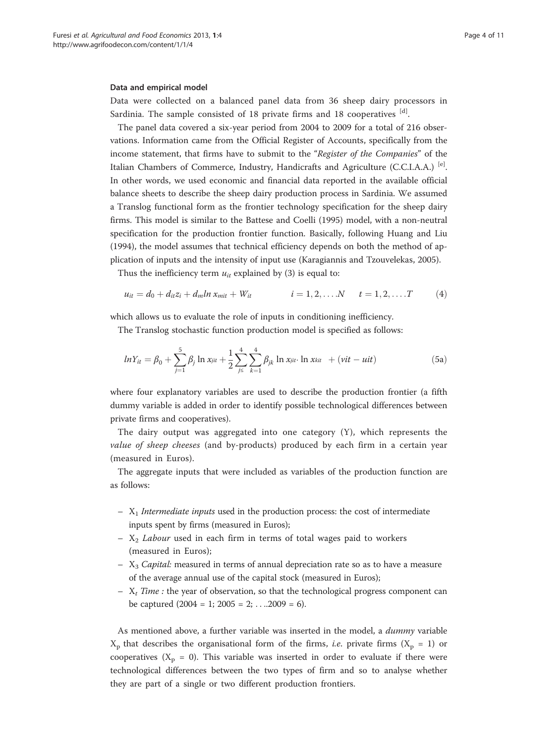#### Data and empirical model

Data were collected on a balanced panel data from 36 sheep dairy processors in Sardinia. The sample consisted of 18 private firms and 18 cooperatives  $\frac{d}{dx}$ .

The panel data covered a six-year period from 2004 to 2009 for a total of 216 observations. Information came from the Official Register of Accounts, specifically from the income statement, that firms have to submit to the "Register of the Companies" of the Italian Chambers of Commerce, Industry, Handicrafts and Agriculture (C.C.I.A.A.)<sup>[e]</sup>. In other words, we used economic and financial data reported in the available official balance sheets to describe the sheep dairy production process in Sardinia. We assumed a Translog functional form as the frontier technology specification for the sheep dairy firms. This model is similar to the Battese and Coelli [\(1995](#page-10-0)) model, with a non-neutral specification for the production frontier function. Basically, following Huang and Liu ([1994](#page-10-0)), the model assumes that technical efficiency depends on both the method of application of inputs and the intensity of input use (Karagiannis and Tzouvelekas, [2005\)](#page-10-0).

Thus the inefficiency term  $u_{it}$  explained by (3) is equal to:

$$
u_{it} = d_0 + d_{it}z_i + d_m \ln x_{mit} + W_{it} \qquad i = 1, 2, \dots N \qquad t = 1, 2, \dots T \qquad (4)
$$

which allows us to evaluate the role of inputs in conditioning inefficiency.

The Translog stochastic function production model is specified as follows:

$$
lnY_{it} = \beta_0 + \sum_{j=1}^{5} \beta_j \ln x_{jit} + \frac{1}{2} \sum_{j \leq}^{4} \sum_{k=1}^{4} \beta_{jk} \ln x_{jit} \cdot \ln x_{kit} + (vit - uit)
$$
 (5a)

where four explanatory variables are used to describe the production frontier (a fifth dummy variable is added in order to identify possible technological differences between private firms and cooperatives).

The dairy output was aggregated into one category (Y), which represents the value of sheep cheeses (and by-products) produced by each firm in a certain year (measured in Euros).

The aggregate inputs that were included as variables of the production function are as follows:

- $X_1$  Intermediate inputs used in the production process: the cost of intermediate inputs spent by firms (measured in Euros);
- $X_2$  *Labour* used in each firm in terms of total wages paid to workers (measured in Euros);
- $X_3$  Capital: measured in terms of annual depreciation rate so as to have a measure of the average annual use of the capital stock (measured in Euros);
- $X_t$  Time : the year of observation, so that the technological progress component can be captured  $(2004 = 1; 2005 = 2; \ldots, 2009 = 6)$ .

As mentioned above, a further variable was inserted in the model, a *dummy* variable  $X_p$  that describes the organisational form of the firms, *i.e.* private firms ( $X_p = 1$ ) or cooperatives ( $X_p = 0$ ). This variable was inserted in order to evaluate if there were technological differences between the two types of firm and so to analyse whether they are part of a single or two different production frontiers.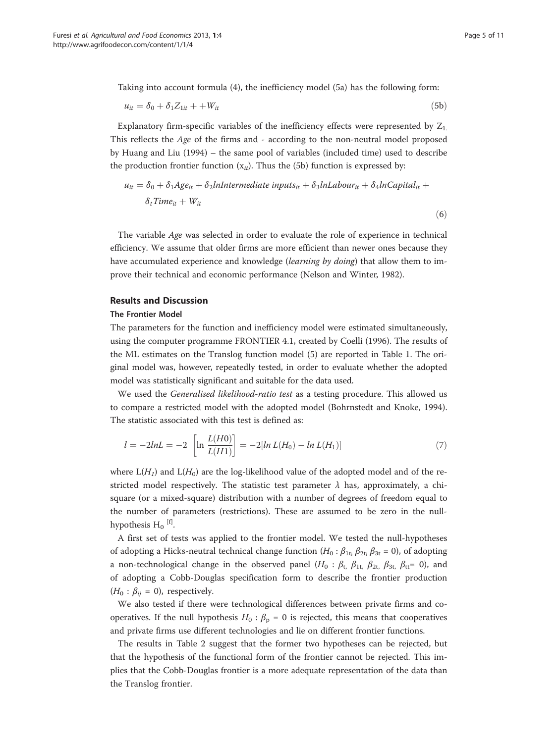$(6)$ 

Taking into account formula (4), the inefficiency model (5a) has the following form:

$$
u_{it} = \delta_0 + \delta_1 Z_{1it} + +W_{it} \tag{5b}
$$

Explanatory firm-specific variables of the inefficiency effects were represented by  $Z_1$ . This reflects the Age of the firms and - according to the non-neutral model proposed by Huang and Liu ([1994](#page-10-0)) – the same pool of variables (included time) used to describe the production frontier function  $(x_{it})$ . Thus the (5b) function is expressed by:

$$
u_{it} = \delta_0 + \delta_1 Age_{it} + \delta_2 In Intermediate inputs_{it} + \delta_3 InLabelur_{it} + \delta_4 InCapital_{it} + \delta_t Time_{it} + Wi_t
$$

The variable Age was selected in order to evaluate the role of experience in technical efficiency. We assume that older firms are more efficient than newer ones because they have accumulated experience and knowledge *(learning by doing*) that allow them to improve their technical and economic performance (Nelson and Winter, [1982](#page-10-0)).

#### Results and Discussion

#### The Frontier Model

The parameters for the function and inefficiency model were estimated simultaneously, using the computer programme FRONTIER 4.1, created by Coelli [\(1996\)](#page-10-0). The results of the ML estimates on the Translog function model (5) are reported in Table [1.](#page-5-0) The original model was, however, repeatedly tested, in order to evaluate whether the adopted model was statistically significant and suitable for the data used.

We used the Generalised likelihood-ratio test as a testing procedure. This allowed us to compare a restricted model with the adopted model (Bohrnstedt and Knoke, [1994](#page-10-0)). The statistic associated with this test is defined as:

$$
l = -2lnL = -2 \left[ ln \frac{L(H0)}{L(H1)} \right] = -2[ln L(H_0) - ln L(H_1)] \tag{7}
$$

where  $L(H_1)$  and  $L(H_0)$  are the log-likelihood value of the adopted model and of the restricted model respectively. The statistic test parameter  $\lambda$  has, approximately, a chisquare (or a mixed-square) distribution with a number of degrees of freedom equal to the number of parameters (restrictions). These are assumed to be zero in the nullhypothesis  $H_0$ <sup>[f]</sup>.

A first set of tests was applied to the frontier model. We tested the null-hypotheses of adopting a Hicks-neutral technical change function ( $H_0$ :  $\beta_{1t}$ ;  $\beta_{2t}$ ;  $\beta_{3t}$  = 0), of adopting a non-technological change in the observed panel ( $H_0$  :  $\beta_t$ ,  $\beta_{1t}$ ,  $\beta_{2t}$ ,  $\beta_{3t}$ ,  $\beta_{tt}$ = 0), and of adopting a Cobb-Douglas specification form to describe the frontier production  $(H_0: \beta_{ii} = 0)$ , respectively.

We also tested if there were technological differences between private firms and cooperatives. If the null hypothesis  $H_0$  :  $\beta_p = 0$  is rejected, this means that cooperatives and private firms use different technologies and lie on different frontier functions.

The results in Table [2](#page-6-0) suggest that the former two hypotheses can be rejected, but that the hypothesis of the functional form of the frontier cannot be rejected. This implies that the Cobb-Douglas frontier is a more adequate representation of the data than the Translog frontier.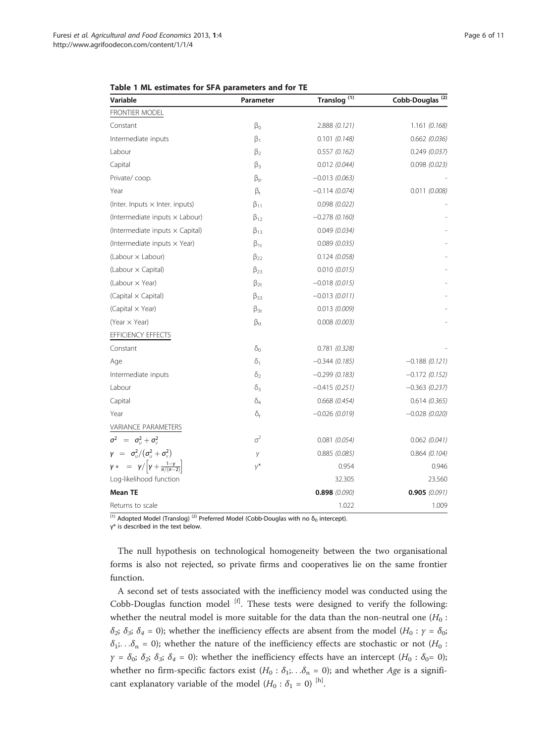| Variable                                                                   | Parameter        | Translog <sup>(1)</sup> | Cobb-Douglas <sup>(2)</sup> |  |
|----------------------------------------------------------------------------|------------------|-------------------------|-----------------------------|--|
| FRONTIER MODEL                                                             |                  |                         |                             |  |
| Constant                                                                   | $\beta_0$        | 2.888 (0.121)           | 1.161(0.168)                |  |
| Intermediate inputs                                                        | $\beta_1$        | 0.101 (0.148)           | $0.662$ (0.036)             |  |
| Labour                                                                     | $\beta_2$        | 0.557(0.162)            | 0.249(0.037)                |  |
| Capital                                                                    | $\beta_3$        | 0.012(0.044)            | 0.098(0.023)                |  |
| Private/coop.                                                              | $\beta_{\rm p}$  | $-0.013(0.063)$         |                             |  |
| Year                                                                       | $\beta_{t}$      | $-0.114(0.074)$         | 0.011(0.008)                |  |
| (Inter. Inputs $\times$ Inter. inputs)                                     | $\beta_{11}$     | 0.098(0.022)            |                             |  |
| (Intermediate inputs $\times$ Labour)                                      | $\beta_{12}$     | $-0.278(0.160)$         |                             |  |
| (Intermediate inputs x Capital)                                            | $\beta_{13}$     | 0.049(0.034)            |                             |  |
| (Intermediate inputs × Year)                                               | $\beta_{1t}$     | 0.089(0.035)            |                             |  |
| $(Labour \times Labour)$                                                   | $\beta_{22}$     | 0.124(0.058)            |                             |  |
| $(Labour \times Capital)$                                                  | $\beta_{23}$     | 0.010(0.015)            |                             |  |
| $(Labour \times Year)$                                                     | $\beta_{2t}$     | $-0.018(0.015)$         |                             |  |
| (Capital $\times$ Capital)                                                 | $\beta_{33}$     | $-0.013(0.011)$         |                             |  |
| (Capital $\times$ Year)                                                    | $\beta_{3t}$     | 0.013(0.009)            |                             |  |
| (Year $\times$ Year)                                                       | $\beta_{tt}$     | 0.008(0.003)            |                             |  |
| EFFICIENCY EFFECTS                                                         |                  |                         |                             |  |
| Constant                                                                   | $\delta_0$       | 0.781(0.328)            |                             |  |
| Age                                                                        | $\delta_1$       | $-0.344(0.185)$         | $-0.188(0.121)$             |  |
| Intermediate inputs                                                        | $\delta_2$       | $-0.299(0.183)$         | $-0.172(0.152)$             |  |
| Labour                                                                     | $\delta_3$       | $-0.415(0.251)$         | $-0.363(0.237)$             |  |
| Capital                                                                    | $\delta_4$       | 0.668(0.454)            | 0.614(0.365)                |  |
| Year                                                                       | $\delta_{\rm t}$ | $-0.026(0.019)$         | $-0.028(0.020)$             |  |
| <b>VARIANCE PARAMETERS</b>                                                 |                  |                         |                             |  |
| $\sigma^2 = \sigma_u^2 + \sigma_v^2$                                       | $\sigma^2$       | 0.081(0.054)            | 0.062(0.041)                |  |
| $\gamma = \sigma_u^2/(\sigma_u^2 + \sigma_v^2)$                            | γ                | 0.885(0.085)            | 0.864(0.104)                |  |
| $\gamma * = \gamma / \left[ \gamma + \frac{1-\gamma}{\pi/(\pi-2)} \right]$ | $v^*$            | 0.954                   | 0.946                       |  |
| Log-likelihood function                                                    |                  | 32.305                  | 23.560                      |  |
| <b>Mean TE</b>                                                             |                  | 0.898(0.090)            | 0.905(0.091)                |  |
| Returns to scale                                                           |                  | 1.022                   | 1.009                       |  |

<span id="page-5-0"></span>

|  |  |  |  |  | Table 1 ML estimates for SFA parameters and for TE |  |  |  |
|--|--|--|--|--|----------------------------------------------------|--|--|--|
|--|--|--|--|--|----------------------------------------------------|--|--|--|

(1) Adopted Model (Translog)<sup>(2)</sup> Preferred Model (Cobb-Douglas with no  $\delta_0$  intercept).

γ\* is described in the text below.

The null hypothesis on technological homogeneity between the two organisational forms is also not rejected, so private firms and cooperatives lie on the same frontier function.

A second set of tests associated with the inefficiency model was conducted using the Cobb-Douglas function model  $[f]$ . These tests were designed to verify the following: whether the neutral model is more suitable for the data than the non-neutral one  $(H_0:$ δ<sub>2</sub>; δ<sub>3</sub>; δ<sub>4</sub> = 0); whether the inefficiency effects are absent from the model ( $H_0$ :  $\gamma = \delta_0$ ;  $\delta_1$ ;... $\delta_n$  = 0); whether the nature of the inefficiency effects are stochastic or not ( $H_0$ :  $\gamma = \delta_0$ ;  $\delta_2$ ;  $\delta_3$ ;  $\delta_4 = 0$ ): whether the inefficiency effects have an intercept  $(H_0 : \delta_0 = 0)$ ; whether no firm-specific factors exist  $(H_0 : \delta_1; \ldots; \delta_n = 0)$ ; and whether Age is a significant explanatory variable of the model  $(H_0 : \delta_1 = 0)$ <sup>[h]</sup>.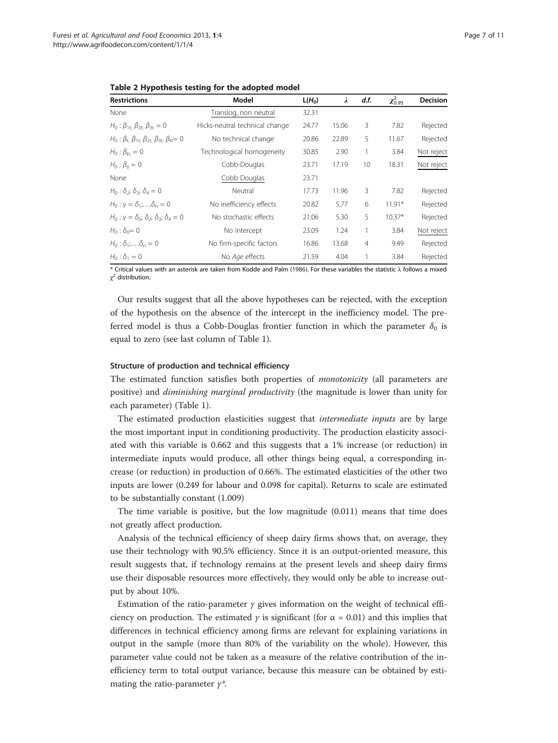<span id="page-6-0"></span>Table 2 Hypothesis testing for the adopted model

| <b>Restrictions</b>                                                              | Model                          | $L(H_0)$ | $\lambda$ | d.f.           | $\chi^2_{0.95}$ | <b>Decision</b> |
|----------------------------------------------------------------------------------|--------------------------------|----------|-----------|----------------|-----------------|-----------------|
| None                                                                             | Translog, non neutral          | 32.31    |           |                |                 |                 |
| $H_0: \beta_{1t}$ $\beta_{2t}$ $\beta_{3t} = 0$                                  | Hicks-neutral technical change | 24.77    | 15.06     | 3              | 7.82            | Rejected        |
| $H_0: \beta_{t}$ , $\beta_{1t}$ , $\beta_{2t}$ , $\beta_{3t}$ , $\beta_{tt} = 0$ | No technical change            | 20.86    | 22.89     | 5              | 11.67           | Rejected        |
| $H_0: \beta_{D} = 0$                                                             | Technological homogeneity      | 30.85    | 2.90      | 1              | 3.84            | Not reject      |
| $H_0: \beta_{ii} = 0$                                                            | Cobb-Douglas                   | 23.71    | 17.19     | 10             | 18.31           | Not reject      |
| None                                                                             | Cobb Douglas                   | 23.71    |           |                |                 |                 |
| $H_0$ : $\delta_2$ ; $\delta_3$ ; $\delta_4 = 0$                                 | Neutral                        | 17.73    | 11.96     | 3              | 7.82            | Rejected        |
| $H_0: \gamma = \delta_1: \ldots \delta_n = 0$                                    | No inefficiency effects        | 20.82    | 5.77      | 6              | $11.91*$        | Rejected        |
| $H_0: \gamma = \delta_0$ ; $\delta_2$ ; $\delta_3$ ; $\delta_4 = 0$              | No stochastic effects          | 21.06    | 5.30      | 5              | $10.37*$        | Rejected        |
| $H_0$ : $\delta_0 = 0$                                                           | No intercept                   | 23.09    | 1.24      | 1              | 3.84            | Not reject      |
| $H_0: \delta_1: \ldots \delta_n = 0$                                             | No firm-specific factors       | 16.86    | 13.68     | $\overline{4}$ | 9.49            | Rejected        |
| $H_0$ : $\delta_1 = 0$                                                           | No Age effects                 | 21.59    | 4.04      |                | 3.84            | Rejected        |

\* Critical values with an asterisk are taken from Kodde and Palm ([1986](#page-10-0)). For these variables the statistic  $\lambda$  follows a mixed  $\chi^2$  distribution.

Our results suggest that all the above hypotheses can be rejected, with the exception of the hypothesis on the absence of the intercept in the inefficiency model. The preferred model is thus a Cobb-Douglas frontier function in which the parameter  $\delta_0$  is equal to zero (see last column of Table [1\)](#page-5-0).

#### Structure of production and technical efficiency

The estimated function satisfies both properties of *monotonicity* (all parameters are positive) and diminishing marginal productivity (the magnitude is lower than unity for each parameter) (Table [1\)](#page-5-0).

The estimated production elasticities suggest that *intermediate inputs* are by large the most important input in conditioning productivity. The production elasticity associated with this variable is 0.662 and this suggests that a 1% increase (or reduction) in intermediate inputs would produce, all other things being equal, a corresponding increase (or reduction) in production of 0.66%. The estimated elasticities of the other two inputs are lower (0.249 for labour and 0.098 for capital). Returns to scale are estimated to be substantially constant (1.009)

The time variable is positive, but the low magnitude (0.011) means that time does not greatly affect production.

Analysis of the technical efficiency of sheep dairy firms shows that, on average, they use their technology with 90.5% efficiency. Since it is an output-oriented measure, this result suggests that, if technology remains at the present levels and sheep dairy firms use their disposable resources more effectively, they would only be able to increase output by about 10%.

Estimation of the ratio-parameter  $\gamma$  gives information on the weight of technical efficiency on production. The estimated  $\gamma$  is significant (for  $\alpha = 0.01$ ) and this implies that differences in technical efficiency among firms are relevant for explaining variations in output in the sample (more than 80% of the variability on the whole). However, this parameter value could not be taken as a measure of the relative contribution of the inefficiency term to total output variance, because this measure can be obtained by estimating the ratio-parameter  $\gamma^*$ .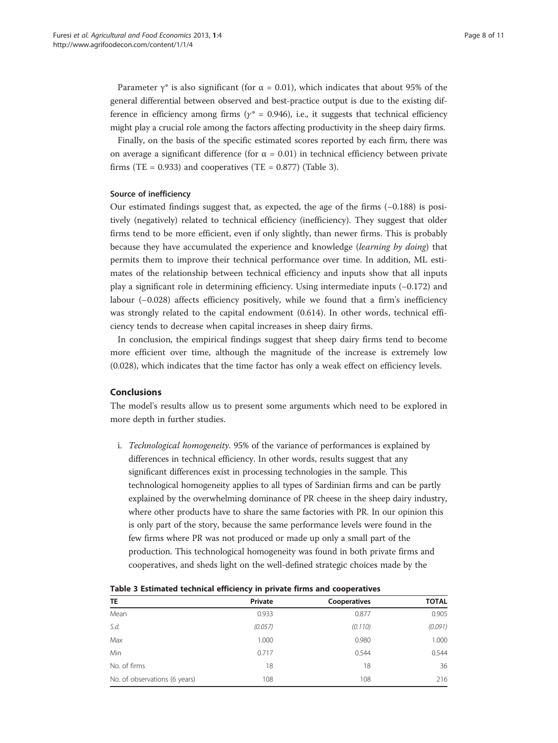Parameter  $\gamma^*$  is also significant (for  $\alpha = 0.01$ ), which indicates that about 95% of the general differential between observed and best-practice output is due to the existing difference in efficiency among firms ( $\gamma^* = 0.946$ ), i.e., it suggests that technical efficiency might play a crucial role among the factors affecting productivity in the sheep dairy firms.

Finally, on the basis of the specific estimated scores reported by each firm, there was on average a significant difference (for  $\alpha = 0.01$ ) in technical efficiency between private firms (TE =  $0.933$ ) and cooperatives (TE =  $0.877$ ) (Table 3).

### Source of inefficiency

Our estimated findings suggest that, as expected, the age of the firms (−0.188) is positively (negatively) related to technical efficiency (inefficiency). They suggest that older firms tend to be more efficient, even if only slightly, than newer firms. This is probably because they have accumulated the experience and knowledge (learning by doing) that permits them to improve their technical performance over time. In addition, ML estimates of the relationship between technical efficiency and inputs show that all inputs play a significant role in determining efficiency. Using intermediate inputs (−0.172) and labour (−0.028) affects efficiency positively, while we found that a firm's inefficiency was strongly related to the capital endowment (0.614). In other words, technical efficiency tends to decrease when capital increases in sheep dairy firms.

In conclusion, the empirical findings suggest that sheep dairy firms tend to become more efficient over time, although the magnitude of the increase is extremely low (0.028), which indicates that the time factor has only a weak effect on efficiency levels.

#### Conclusions

The model's results allow us to present some arguments which need to be explored in more depth in further studies.

i. Technological homogeneity. 95% of the variance of performances is explained by differences in technical efficiency. In other words, results suggest that any significant differences exist in processing technologies in the sample. This technological homogeneity applies to all types of Sardinian firms and can be partly explained by the overwhelming dominance of PR cheese in the sheep dairy industry, where other products have to share the same factories with PR. In our opinion this is only part of the story, because the same performance levels were found in the few firms where PR was not produced or made up only a small part of the production. This technological homogeneity was found in both private firms and cooperatives, and sheds light on the well-defined strategic choices made by the

|                               |         | .                   |              |  |
|-------------------------------|---------|---------------------|--------------|--|
| <b>TE</b>                     | Private | <b>Cooperatives</b> | <b>TOTAL</b> |  |
| Mean                          | 0.933   | 0.877               | 0.905        |  |
| S.d.                          | (0.057) | (0.110)             | (0.091)      |  |
| Max                           | 1.000   | 0.980               | 1.000        |  |
| Min                           | 0.717   | 0.544               | 0.544        |  |
| No. of firms                  | 18      | 18                  | 36           |  |
| No. of observations (6 years) | 108     | 108                 | 216          |  |

Table 3 Estimated technical efficiency in private firms and cooperatives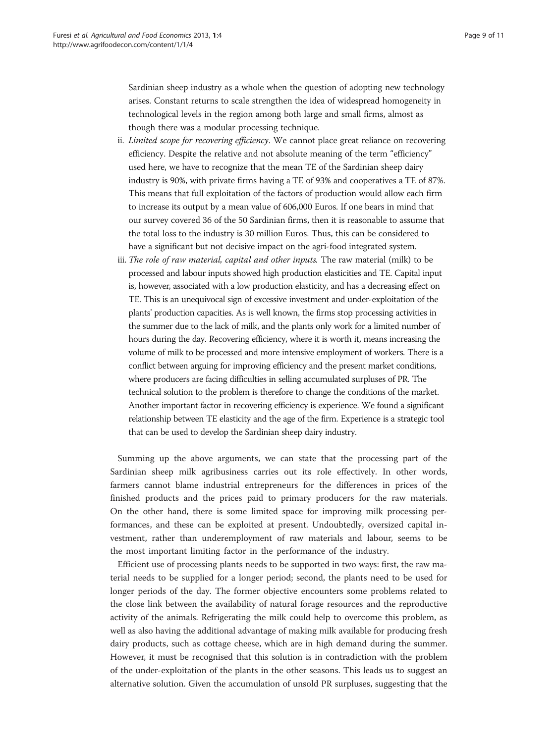Sardinian sheep industry as a whole when the question of adopting new technology arises. Constant returns to scale strengthen the idea of widespread homogeneity in technological levels in the region among both large and small firms, almost as though there was a modular processing technique.

- ii. Limited scope for recovering efficiency. We cannot place great reliance on recovering efficiency. Despite the relative and not absolute meaning of the term "efficiency" used here, we have to recognize that the mean TE of the Sardinian sheep dairy industry is 90%, with private firms having a TE of 93% and cooperatives a TE of 87%. This means that full exploitation of the factors of production would allow each firm to increase its output by a mean value of 606,000 Euros. If one bears in mind that our survey covered 36 of the 50 Sardinian firms, then it is reasonable to assume that the total loss to the industry is 30 million Euros. Thus, this can be considered to have a significant but not decisive impact on the agri-food integrated system.
- iii. The role of raw material, capital and other inputs. The raw material (milk) to be processed and labour inputs showed high production elasticities and TE. Capital input is, however, associated with a low production elasticity, and has a decreasing effect on TE. This is an unequivocal sign of excessive investment and under-exploitation of the plants' production capacities. As is well known, the firms stop processing activities in the summer due to the lack of milk, and the plants only work for a limited number of hours during the day. Recovering efficiency, where it is worth it, means increasing the volume of milk to be processed and more intensive employment of workers. There is a conflict between arguing for improving efficiency and the present market conditions, where producers are facing difficulties in selling accumulated surpluses of PR. The technical solution to the problem is therefore to change the conditions of the market. Another important factor in recovering efficiency is experience. We found a significant relationship between TE elasticity and the age of the firm. Experience is a strategic tool that can be used to develop the Sardinian sheep dairy industry.

Summing up the above arguments, we can state that the processing part of the Sardinian sheep milk agribusiness carries out its role effectively. In other words, farmers cannot blame industrial entrepreneurs for the differences in prices of the finished products and the prices paid to primary producers for the raw materials. On the other hand, there is some limited space for improving milk processing performances, and these can be exploited at present. Undoubtedly, oversized capital investment, rather than underemployment of raw materials and labour, seems to be the most important limiting factor in the performance of the industry.

Efficient use of processing plants needs to be supported in two ways: first, the raw material needs to be supplied for a longer period; second, the plants need to be used for longer periods of the day. The former objective encounters some problems related to the close link between the availability of natural forage resources and the reproductive activity of the animals. Refrigerating the milk could help to overcome this problem, as well as also having the additional advantage of making milk available for producing fresh dairy products, such as cottage cheese, which are in high demand during the summer. However, it must be recognised that this solution is in contradiction with the problem of the under-exploitation of the plants in the other seasons. This leads us to suggest an alternative solution. Given the accumulation of unsold PR surpluses, suggesting that the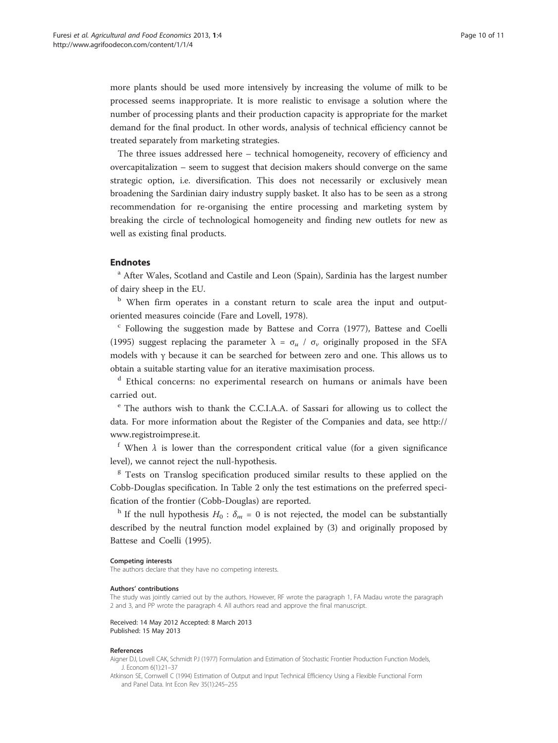<span id="page-9-0"></span>more plants should be used more intensively by increasing the volume of milk to be processed seems inappropriate. It is more realistic to envisage a solution where the number of processing plants and their production capacity is appropriate for the market demand for the final product. In other words, analysis of technical efficiency cannot be treated separately from marketing strategies.

The three issues addressed here – technical homogeneity, recovery of efficiency and overcapitalization – seem to suggest that decision makers should converge on the same strategic option, i.e. diversification. This does not necessarily or exclusively mean broadening the Sardinian dairy industry supply basket. It also has to be seen as a strong recommendation for re-organising the entire processing and marketing system by breaking the circle of technological homogeneity and finding new outlets for new as well as existing final products.

## Endnotes

<sup>a</sup> After Wales, Scotland and Castile and Leon (Spain), Sardinia has the largest number of dairy sheep in the EU.

b When firm operates in a constant return to scale area the input and outputoriented measures coincide (Fare and Lovell, [1978](#page-10-0)).

 $\degree$  Following the suggestion made by Battese and Corra [\(1977\)](#page-10-0), Battese and Coelli ([1995](#page-10-0)) suggest replacing the parameter  $\lambda = \sigma_u / \sigma_v$  originally proposed in the SFA models with  $\gamma$  because it can be searched for between zero and one. This allows us to obtain a suitable starting value for an iterative maximisation process.

<sup>d</sup> Ethical concerns: no experimental research on humans or animals have been carried out.

<sup>e</sup> The authors wish to thank the C.C.I.A.A. of Sassari for allowing us to collect the data. For more information about the Register of the Companies and data, see [http://](http://www.registroimprese.it) [www.registroimprese.it.](http://www.registroimprese.it)

<sup>f</sup> When  $\lambda$  is lower than the correspondent critical value (for a given significance level), we cannot reject the null-hypothesis.

<sup>g</sup> Tests on Translog specification produced similar results to these applied on the Cobb-Douglas specification. In Table [2](#page-6-0) only the test estimations on the preferred specification of the frontier (Cobb-Douglas) are reported.

<sup>h</sup> If the null hypothesis  $H_0$ :  $\delta_m = 0$  is not rejected, the model can be substantially described by the neutral function model explained by (3) and originally proposed by Battese and Coelli ([1995](#page-10-0)).

#### Competing interests

The authors declare that they have no competing interests.

#### Authors' contributions

The study was jointly carried out by the authors. However, RF wrote the paragraph 1, FA Madau wrote the paragraph 2 and 3, and PP wrote the paragraph 4. All authors read and approve the final manuscript.

Received: 14 May 2012 Accepted: 8 March 2013 Published: 15 May 2013

#### References

Aigner DJ, Lovell CAK, Schmidt PJ (1977) Formulation and Estimation of Stochastic Frontier Production Function Models, J. Econom 6(1):21–37

Atkinson SE, Cornwell C (1994) Estimation of Output and Input Technical Efficiency Using a Flexible Functional Form and Panel Data. Int Econ Rev 35(1):245–255